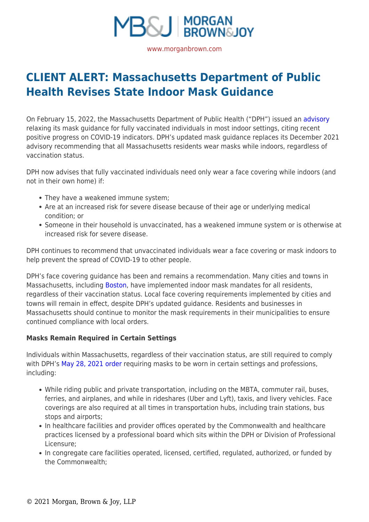

**[CLIENT ALERT: Massachusetts Department of Public](https://www.morganbrown.com/legal-update/client-alert-massachusetts-department-of-public-health-revises-state-indoor-mask-guidance/) [Health Revises State Indoor Mask Guidance](https://www.morganbrown.com/legal-update/client-alert-massachusetts-department-of-public-health-revises-state-indoor-mask-guidance/)**

On February 15, 2022, the Massachusetts Department of Public Health ("DPH") issued an [advisory](https://www.mass.gov/doc/updated-advisory-regarding-masks-and-face-coverings-0/download) relaxing its mask guidance for fully vaccinated individuals in most indoor settings, citing recent positive progress on COVID-19 indicators. DPH's updated mask guidance replaces its December 2021 advisory recommending that all Massachusetts residents wear masks while indoors, regardless of vaccination status.

DPH now advises that fully vaccinated individuals need only wear a face covering while indoors (and not in their own home) if:

- They have a weakened immune system;
- Are at an increased risk for severe disease because of their age or underlying medical condition; or
- Someone in their household is unvaccinated, has a weakened immune system or is otherwise at increased risk for severe disease.

DPH continues to recommend that unvaccinated individuals wear a face covering or mask indoors to help prevent the spread of COVID-19 to other people.

DPH's face covering guidance has been and remains a recommendation. Many cities and towns in Massachusetts, including [Boston](https://www.boston.gov/#:~:text=Face%20masks%20are%20required%20in,in%20the%20City%20of%20Boston.&text=We%20have%20vaccine%20safety%20information,for%20eligible%20residents%20in%20Boston.&text=We), have implemented indoor mask mandates for all residents, regardless of their vaccination status. Local face covering requirements implemented by cities and towns will remain in effect, despite DPH's updated guidance. Residents and businesses in Massachusetts should continue to monitor the mask requirements in their municipalities to ensure continued compliance with local orders.

## **Masks Remain Required in Certain Settings**

Individuals within Massachusetts, regardless of their vaccination status, are still required to comply with DPH's [May 28, 2021 order](https://www.mass.gov/doc/dph-mask-order-may-28-2021/download) requiring masks to be worn in certain settings and professions, including:

- While riding public and private transportation, including on the MBTA, commuter rail, buses, ferries, and airplanes, and while in rideshares (Uber and Lyft), taxis, and livery vehicles. Face coverings are also required at all times in transportation hubs, including train stations, bus stops and airports;
- In healthcare facilities and provider offices operated by the Commonwealth and healthcare practices licensed by a professional board which sits within the DPH or Division of Professional Licensure;
- In congregate care facilities operated, licensed, certified, regulated, authorized, or funded by the Commonwealth;